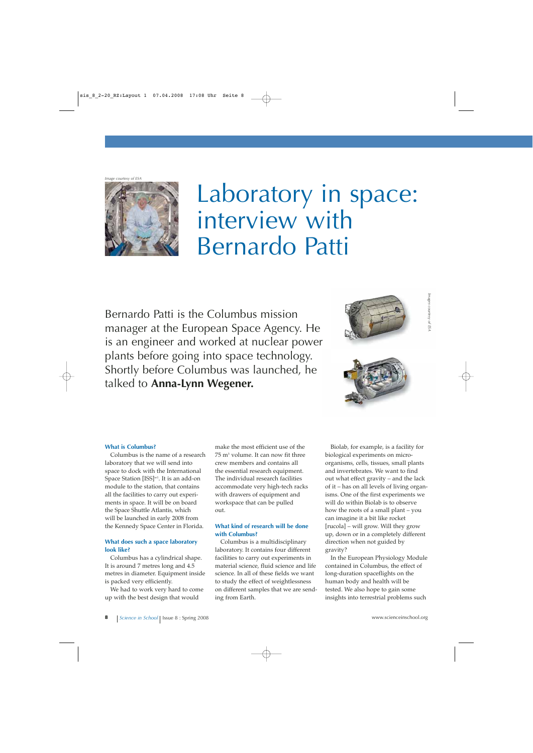*Image courtesy of ESA*



# Laboratory in space: interview with Bernardo Patti

Bernardo Patti is the Columbus mission manager at the European Space Agency. He is an engineer and worked at nuclear power plants before going into space technology. Shortly before Columbus was launched, he talked to **Anna-Lynn Wegener.**





### **What is Columbus?**

Columbus is the name of a research laboratory that we will send into space to dock with the International Space Station [ISS]<sup>w1</sup>. It is an add-on module to the station, that contains all the facilities to carry out experiments in space. It will be on board the Space Shuttle Atlantis, which will be launched in early 2008 from the Kennedy Space Center in Florida.

#### **What does such a space laboratory look like?**

Columbus has a cylindrical shape. It is around 7 metres long and 4.5 metres in diameter. Equipment inside is packed very efficiently.

We had to work very hard to come up with the best design that would

make the most efficient use of the 75 m3 volume. It can now fit three crew members and contains all the essential research equipment. The individual research facilities accommodate very high-tech racks with drawers of equipment and workspace that can be pulled out.

#### **What kind of research will be done with Columbus?**

Columbus is a multidisciplinary laboratory. It contains four different facilities to carry out experiments in material science, fluid science and life science. In all of these fields we want to study the effect of weightlessness on different samples that we are sending from Earth.

Biolab, for example, is a facility for biological experiments on microorganisms, cells, tissues, small plants and invertebrates. We want to find out what effect gravity – and the lack of it – has on all levels of living organisms. One of the first experiments we will do within Biolab is to observe how the roots of a small plant – you can imagine it a bit like rocket [rucola] – will grow. Will they grow up, down or in a completely different direction when not guided by gravity?

In the European Physiology Module contained in Columbus, the effect of long-duration spaceflights on the human body and health will be tested. We also hope to gain some insights into terrestrial problems such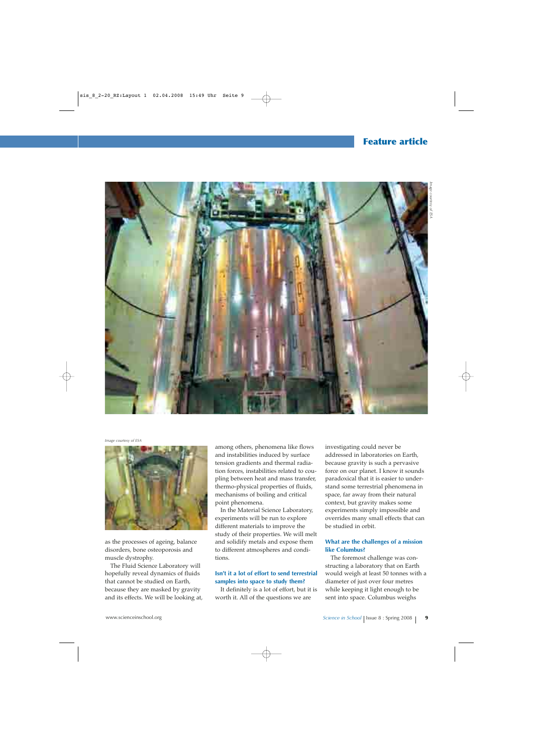## **Feature article**



*Image courtesy of ESA*



as the processes of ageing, balance disorders, bone osteoporosis and muscle dystrophy.

The Fluid Science Laboratory will hopefully reveal dynamics of fluids that cannot be studied on Earth, because they are masked by gravity and its effects. We will be looking at, among others, phenomena like flows and instabilities induced by surface tension gradients and thermal radiation forces, instabilities related to coupling between heat and mass transfer, thermo-physical properties of fluids, mechanisms of boiling and critical point phenomena.

In the Material Science Laboratory, experiments will be run to explore different materials to improve the study of their properties. We will melt and solidify metals and expose them to different atmospheres and conditions.

#### **Isn't it a lot of effort to send terrestrial samples into space to study them?**

It definitely is a lot of effort, but it is worth it. All of the questions we are

investigating could never be addressed in laboratories on Earth, because gravity is such a pervasive force on our planet. I know it sounds paradoxical that it is easier to understand some terrestrial phenomena in space, far away from their natural context, but gravity makes some experiments simply impossible and overrides many small effects that can be studied in orbit.

#### **What are the challenges of a mission like Columbus?**

The foremost challenge was constructing a laboratory that on Earth would weigh at least 50 tonnes with a diameter of just over four metres while keeping it light enough to be sent into space. Columbus weighs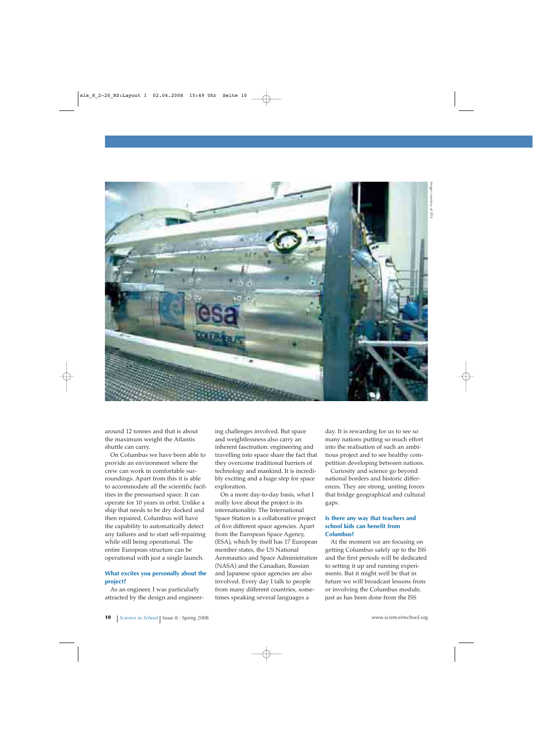

around 12 tonnes and that is about the maximum weight the Atlantis shuttle can carry.

On Columbus we have been able to provide an environment where the crew can work in comfortable surroundings. Apart from this it is able to accommodate all the scientific facilities in the pressurised space. It can operate for 10 years in orbit. Unlike a ship that needs to be dry docked and then repaired, Columbus will have the capability to automatically detect any failures and to start self-repairing while still being operational. The entire European structure can be operational with just a single launch.

#### **What excites you personally about the project?**

As an engineer, I was particularly attracted by the design and engineer-

ing challenges involved. But space and weightlessness also carry an inherent fascination: engineering and travelling into space share the fact that they overcome traditional barriers of technology and mankind. It is incredibly exciting and a huge step for space exploration.

On a more day-to-day basis, what I really love about the project is its internationality. The International Space Station is a collaborative project of five different space agencies. Apart from the European Space Agency, (ESA), which by itself has 17 European member states, the US National Aeronautics and Space Administration (NASA) and the Canadian, Russian and Japanese space agencies are also involved. Every day I talk to people from many different countries, sometimes speaking several languages a

day. It is rewarding for us to see so many nations putting so much effort into the realisation of such an ambitious project and to see healthy competition developing between nations.

Curiosity and science go beyond national borders and historic differences. They are strong, uniting forces that bridge geographical and cultural gaps.

#### **Is there any way that teachers and school kids can benefit from Columbus?**

At the moment we are focusing on getting Columbus safely up to the ISS and the first periods will be dedicated to setting it up and running experiments. But it might well be that in future we will broadcast lessons from or involving the Columbus module, just as has been done from the ISS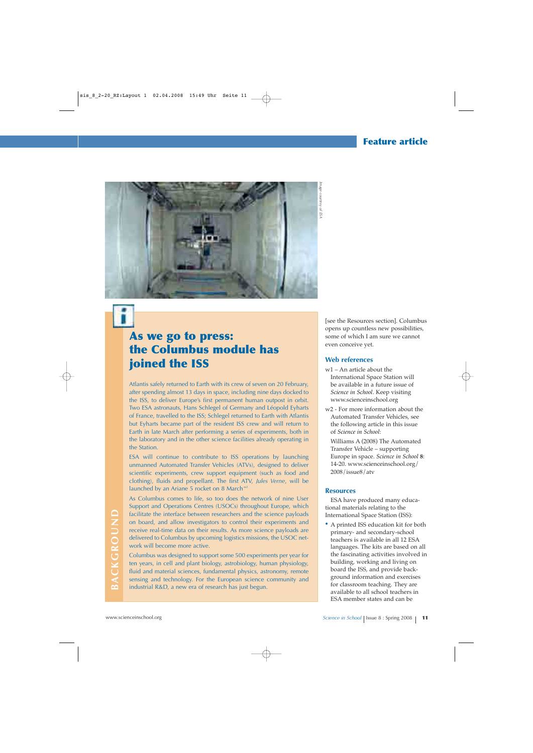# **Feature article**



# **As we go to press: the Columbus module has joined the ISS**

Atlantis safely returned to Earth with its crew of seven on 20 February, after spending almost 13 days in space, including nine days docked to the ISS, to deliver Europe's first permanent human outpost in orbit. Two ESA astronauts, Hans Schlegel of Germany and Léopold Eyharts of France, travelled to the ISS; Schlegel returned to Earth with Atlantis but Eyharts became part of the resident ISS crew and will return to Earth in late March after performing a series of experiments, both in the laboratory and in the other science facilities already operating in the Station.

ESA will continue to contribute to ISS operations by launching unmanned Automated Transfer Vehicles (ATVs), designed to deliver scientific experiments, crew support equipment (such as food and clothing), fluids and propellant. The first ATV, *Jules Verne*, will be launched by an Ariane 5 rocket on 8 March<sup>-w2</sup>

As Columbus comes to life, so too does the network of nine User Support and Operations Centres (USOCs) throughout Europe, which facilitate the interface between researchers and the science payloads on board, and allow investigators to control their experiments and receive real-time data on their results. As more science payloads are delivered to Columbus by upcoming logistics missions, the USOC network will become more active.

Columbus was designed to support some 500 experiments per year for ten years, in cell and plant biology, astrobiology, human physiology, fluid and material sciences, fundamental physics, astronomy, remote sensing and technology. For the European science community and industrial R&D, a new era of research has just begun.

[see the Resources section]. Columbus opens up countless new possibilities, some of which I am sure we cannot even conceive yet.

#### **Web references**

- w1 An article about the International Space Station will be available in a future issue of *Science in School*. Keep visiting www.scienceinschool.org
- w2 For more information about the Automated Transfer Vehicles, see the following article in this issue of *Science in School*:
	- Williams A (2008) The Automated Transfer Vehicle – supporting Europe in space. *Science in School* **8**: 14-20. www.scienceinschool.org/ 2008/issue8/atv

#### **Resources**

ESA have produced many educational materials relating to the International Space Station (ISS):

**·** A printed ISS education kit for both primary- and secondary-school teachers is available in all 12 ESA languages. The kits are based on all the fascinating activities involved in building, working and living on board the ISS, and provide background information and exercises for classroom teaching. They are available to all school teachers in ESA member states and can be Facilitate the interface between researchers and the science payloads<br>
no board, and allow investigators to control their experiments and<br>
delivered to Columbus by upcoming logistics missions, the USOC net<br>
delivered to Co